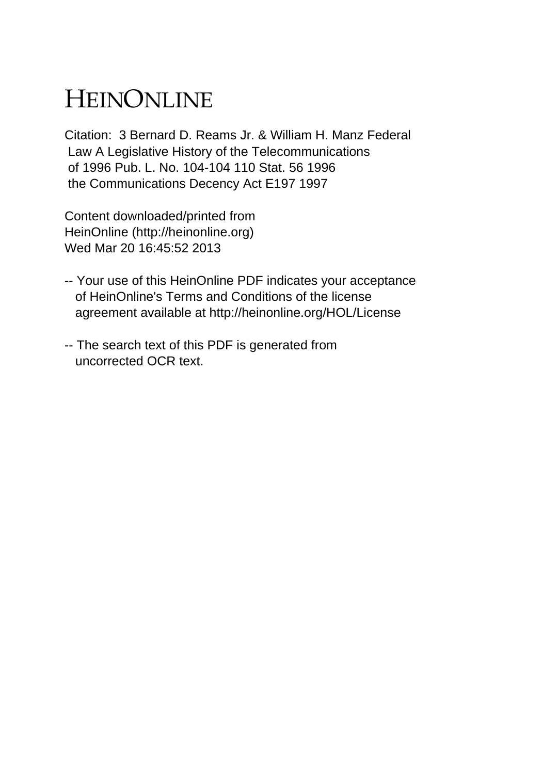# HEINONLINE

Citation: 3 Bernard D. Reams Jr. & William H. Manz Federal Law A Legislative History of the Telecommunications of 1996 Pub. L. No. 104-104 110 Stat. 56 1996 the Communications Decency Act E197 1997

Content downloaded/printed from HeinOnline (http://heinonline.org) Wed Mar 20 16:45:52 2013

- -- Your use of this HeinOnline PDF indicates your acceptance of HeinOnline's Terms and Conditions of the license agreement available at http://heinonline.org/HOL/License
- -- The search text of this PDF is generated from uncorrected OCR text.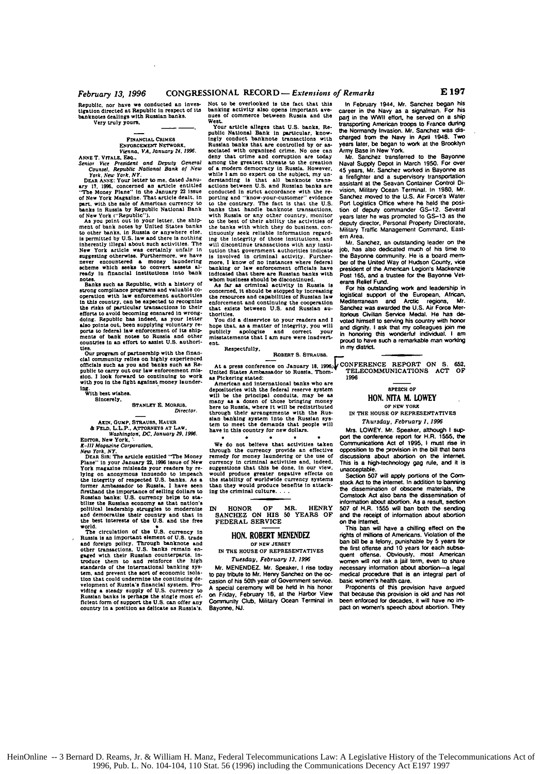## *February 13, 1996* CONGRESSIONAL RECORD **-** *Extensions of Remarks*

**Republic.** nor have we conducted an investiatison directed at Republic In respect **of** its **banknotes** dealings with **Russian banks.** Very truly **yours.**

# **FrNANCIAL CRIMES**

**ENFORCEMENT NETWORK. Vienna. VA. January 24. 1996.**

**ANNE** T. **VrALE, Faq.. Senior** Vice President and Depuy **General** Counsel, Republic National Bank **o! New**

Fork, New York, NY.<br>DEAR ANSE: Your letter to me, dated January 17, 1996, concerned an article entitled<br>or The Money Plane" in the January 22 issue<br>of New York Magazine. That article dealt, in<br>part, with the sale of Americ

of New York ("Republic").<br>
As you point out in your letter, the ship-<br>
ment of bank notes by United States banks<br>
to other banks, in Russia or anywhere else.<br>
is permitted by U.S. law and there is nothing inherently illegal about such activities. The New York article was certainly unitain in suggesting otherwise. Purchermore, we have severe encountered a money laundering scheme which seeks to convert assets allows ready in notes.

notes.<br>Banks such as Republic, with a history of<br>strong compliance programs and valuable costrong compliance programs and valuable co-operation with law enforcement authorities In this country. **can be** expected to **recognize** the risks **of** particular **trasactions** in their efforts to avoid becoming ensnared in wrong-<br>doing. Republic has indeed, as your letter<br>also points out, been supplying voluntary re-<br>ports to federal law enforcement of its ship-<br>ments of bank notes to Russia and other-<br>c

**ties.** Our program of partnership with the **finan-clat** community **relies** on **highly** experienced **officials** such **as** you **and** banks such **as** Republic to carry out our **law** enforcement mis-**sion. I look** forward to **continuing** to work with you **in** the nght against money launder-

**tng.** With best **wlaihea. Sincerely,**

#### STANLEY **E.** MORRIS. **Director.**

**AKIN, GUMP, STRAUSS, HAUER**<br> **& FELD, L.L.P., ATTORNEYS AT LAW.**<br>
Washington, DC, January 29, 1996<br>
EDITOR, New York, **.** 

*K-I1* **Magaine** Corporation.

**New** York, NY. DEAR **SIR:** The **article** entitled **'"The** Money Plane" **in** your January **22, 1996** issue of New York magazine misleads **your** readers **by** relying On anonymous **innuendo** to impeach the Integrity of respected **U.S.** banks. **As a** former **Ambassador** to Russia. I have seen firthand the importance of selling dollars to Entertainment and the U.S. currency helps to stabilize the Russian economy as that nation's<br>political leadership struggles to modernize and and democratize their country and that in<br>the best interests of the U.S. and the f

world, The circulation **of the U.S.** currency In Russia is an important element of **U.S. trade** and foreign policy. Through banknote and<br>other transactions. U.S. banks remain en-<br>gaged with their Russian counterparts, in-<br>troduce them to and reinforce the high<br>standards of the international banking system. and prevent the sort of economic isola-tion that could undermine the continuing **de**velopment of Russia's financial system. Pro-<br>viding a steady supply of U.S. currency to<br>Russian banks is perhaps the single most ef-<br>ficient form of support the U.S. can offer any country in a position as **delicate as** Russia's.

Not to be overlooked **is** the fact that this banking activity also opens important ave-<br>nues of commerce between Russia and the

West.<br>Your article alleges that U.S. banks, Re-<br>public National Bank in particular, know-<br>ingly conduct banknote transactions with<br>Russian banks that are controlled by or as-<br>sociated with organized crime. No one can deny that crime and corruption are today among the greatest threats to the creation of **a** modern democracy in Russia. However, while I am no expert on the subject, my understanding is that all banknote **trans-**actions between **U.S.** and Russian banks are conducted in strict accordance with the reporting and "know-your-customer" evidence to the contrary. **The** fact is that the **U.S.** banks that handle banknote transactions. with Russia or any other country, monitor **to** the best of their ability the activities **of** the banks with which they do business. **con,** tinuously seek reliable information regard. ing the integrity **of** those institutions, and will discontinue transactions with any institution that government authorities indicate<br>tution that government authorities indicate<br>is involved in criminal activity. Furthermore. **I** know of **no** instances where federal banking or law enforcement officials have Indicated that **there are** Russian banks with whom business should be discontinued.

**As far as** criminal activity **in** Russia is concerned. It should be stopped **by** increasing the resources **and** capabilities **of** Russian law enforcement and continuing the cooperation that exists between **U.S.** and Russian **au-**

thorities. You **did** a disservice to your **readers and I** hope that, as a matter of Integrity, you will publicly apologize and correct your misstatements that **I am** sure were Inadvert**ent.**

## Respectfully,

ROSERT **S. STRAUSS.**

American and international banks who **are** depositories with the federal reserve system<br>will be the principal conduits, may be assuming as a dozen of those bringing money<br>here to Russia, where it will be redistributed<br>through their arrangements with the Rus-<br>throug have in this country for new **dollars.**

**We** do not believe that **activities** taken through the currency provide an effective remedy for money laundering or **the use** of currency **in** criminal activities and. Indeed. suggestions that this be done, **in** our view, would produce greater negative effects **on** the stability of worldwide currency systems than they would produce benefits In attack-**ing** the criminal culture....

IN HONOR OF MR. HENRY **SANCHEZ** ON **HIS 50** YEARS OF FEDERAL SERVICE

#### **HON.** ROBERT MENEDEZ OF **NEW** JERSEY

**IN** THE **HOUSE** OF REPRESENTATIVES *Tuesday.* February **13. 1996**

Mr. **MENENDEZ.** Mr. Speaker. **I rise** today to pay **tribute** to Mr. Henry Sanchez on the oc-casion **of** his 50th year **of** Government service. **A** special ceremony will be held In his honor on Friday. February **16.** at *the* Harbor View Conmunity Club. Military Ocean Terminal in Bayonne. **NJ.**

In February 1944, Mr. Sanchez began his career in the Navy as a signalman. For his pail in the WWII **effort** he served **on a** ship transporting **American** troops to France during the Normandy Invasion. **Mr.** Sanchez was **dis-**charged **from the** Navy in April 1948. Two years later, be began to work at **the** Brooklyn

Army Base in New York.<br>Mar. Sanchez transferred to the Bayonne<br>Naval Supply Depot in March 1950. For over<br>45 years, Mr. Sanchez worked in Bayonne as a firefighter and a supervisory transportation assistant at **the** Seavan Container Control Division, Military Ocean Terminal. In **1980,** Mr. Sanchez moved to the **U.S.** Air Force's Water Port Logistics Office where he held **the** posi-lion **of** deputy commander **GS-12.** Several years later he was promoted to **GS-13** as the deputy director, Personal Property Directorate. Military Traffic Management Command, East*ern* Area.

**Mr.** Sanchez. an outstanding leader on the the Bayonne community. He is a board mem**ber** of the United Way **of** Hudson County. vice president **of** the Amencan Legion's Mackenzie Post **165.** and a trustee **for** the Bayonne Vet-

For his outstanding work and leadership in logistical support **of** the European. African. Mediterranean and Arctic regions. **Mr.** Sanchez was awarded the **U.S.** Air Force Meritorious Civilian Service Medal. He has **de**voted himself to serving his country with honor and dignity. **I** ask that **my** colleagues join me in honoring **this** wonderful individual. **I am** proud to have such a remarkable man working in my district.

At a press conference on January 16, 1996.<br>United States Ambassador to Russia. Thom- **1991.ECOMMUNICATIONS ACT OF**<br>as Pickering stated: 1998. **1996**

### **SPEECH OF HON. NITA M. LOWEY**

**OF NEW YORK IN** THE **HOUSE** OF REPRESENTATIVES

Thursday, February *1.* **1996**

Mrs. LOWEY. Mr. Speaker, although **I** sup-**poth e** conference report **for** H.R. **1565.** *the* Communications Act **of 1995, I** must rise in opposition **to the provision** in the bill that bans discussions about abortion on **the** internet This is a high-technology gag rule, and **it is** unacceptable.

Section **507** will apply portions **01 the Corn**stock Act to the intemet. In addition to banning the dissemination of obscene materials. **the** Comstock Act also bans the dissemination **of** Intormation about abortion. As a result, section **507 of H.R. 1555** will ban both **the** sending **and** the receipt **of** information about abortion on **the intemet.**

This ban will have a chilling effect on 9w rights **of** millions **of** Amrencans. Violation **of** the ban bill be a **leony,** punishable **by 5** years **for** the first offense and **10** years **for** each subsequent offense. Obviously, most American women will not **risk** a jail term, even to share necessary information about abortionmedical procedure that is an integral **pea of** basic women's health care.

Proponents **of** this provision have argued that because **this** provision is old and has not been enforced **for** decades, it will have no **rim-**pact on women's speech about abortion. They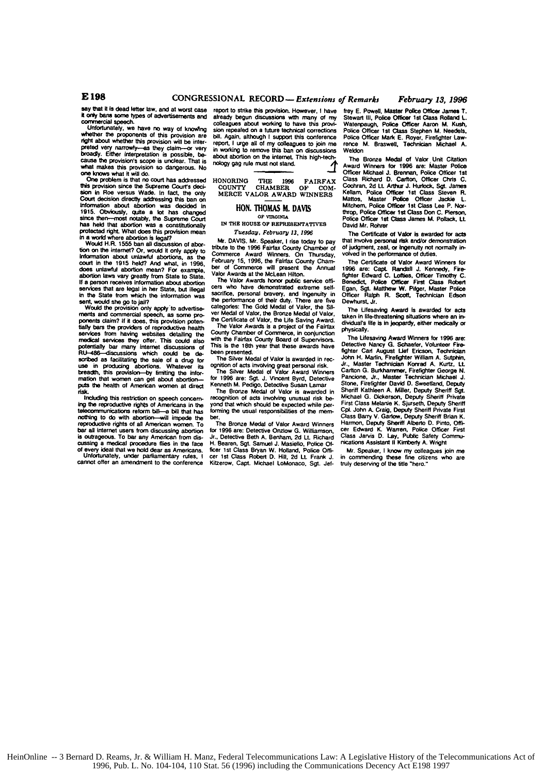say that **it Is** dead letter law, and at worst case **it onl** bae **some** types of advertisements **and** commercial speech. Unfortunately, we have no way **of** knovlng

whether **te** proponents **of** this provision are right about whether this provision will be inter-<br>preted very narrowly-es they claim-or very<br>broadly. Either interpretation is possible, be-

cause the provision's scope is unclear. That is<br>what makes this provision's o dangerous. No<br>one knows what it will do.<br>One problem is that no court has addressed<br>this provision since the Supreme Court's deci-<br>sion in Roe v mommanon about approximate that the School in 1915. Obviously, quite a lot has changed<br>has held that abortion was a constructionally<br>has held that abortion was a constitutionally<br>protected right. What does this provision m

information about unlawful abortions, as the **court in** the **1915** held? And what, in **1996,** abortion laws very greatly from State to State.<br>If a person receives information about abortion<br>services that are legal in her State, but illegal in the State from which the information was sent, would she go to **jail?** Would the provision only **apply** to advertise-

merits **and** commercial speech, as **some pro**ponents **claim? It it** does, this provision poten fially bars the providers **of** reproductive health services from having websites detailing the redil services **they** offer. This could also potentially bar **many** Intemet discussions **of** RU-486-discussions which could be **de-** scribed as facilitating the sale **of a** drug for use in producing abortions. Whatever its<br>breadth, this provision---by limiting the infor**nation** that women can get about abortion- puts the health **of** American women at direct

frisk.<br>
Including this restriction on speech concern-<br>
Including this restriction on speech concern-<br>
Ing the reproductive rights of Americans in the<br>
telecommunications reform bill—may limpede the<br>
nothing to do with abor cussing a medical procedure flies in the face<br>of every ideal that we hold dear as Americans.<br>Unfortunately, under partiamentary rules, i<br>cannot offer an amendment to the conference

report to strike this provision. However, **I** have already begun discussiom with many **of** my colleagues about working to have this provision repealed on a future technical corrections bill. Again, although **I support** this conference report, **I** urge all **of** my colleagues to join me in working to remove this ban **on** discussions about abortion on the **intemet** This high-technology gag rule must not stand. *.4*

**HONORING** THE **1996** FAIRFAX **COUNTY** CHAMBER **OF COM-** MERCE VALOR AWARD **WINNERS**

#### **HON. THOMAS** M. **DAVIS Oi VROGINIA**

*IN* THE **HOUSE OF REPRESENTATIVES** *Tuesday, February 13, 1996* 

Mr. **DAVIS.** Mr. Speaker, **I** rise today to pay **tribute** to the **1996 Fairfax** County Chamber of Commerce Award Winners. On Thursday, February **15, 1996, the** Falrfax County Cham-bar **of** Commerce **will** present the Annual Valor Awards at the McLean Hilton.

The Valor Awards honor public service officers<br>cers who have demonstrated extreme selfsacrifice, personal bravery, and ingenuity the performance of their duty. There are five<br>categories: The Gold Medal of Valor, the Sil-<br>ver Medal of Valor, the Bronze Medal of Valor, the Certificate of Valor, the **Ufe** Saving Award.

The Valor Awards is a project of the Fairfax County Chamber **of** Commerce, in conjunction with the Fairfax County Board **of** Supervisors. This is the 18th year that these awards have been presented.

The Silver **Medal of** Valor is awarded in rec-

ognition of acts involving great personal risk. The Silver Medal of Valor Award Winners **for 1996** are: Sgt. **J.** Vincent Byrd, Detective

Kenneth M. Pedigo. Detective Susan Lamar The Bronze Medal **of** Valor is awarded in recognition of acts involving unusual risk be**yond** that which should be expected while per-forning the usual responsibilities **of** the membar.

The Bronze Medal of Valor Award Winners **for 1996** are: Detective **Onzlow G.** Williamson. Jr.. Detective Beth **A.** Benham, **2d Lt.** Richard H. **Bearen,** Sgt. Samuel **J.** Masielto. Police *Of*ficer 1st Class Bryan W. Holland, Police Offi-<br>cer 1st Class Robert D. Hill, 2d Lt. Frank J.<br>Kitzerow, Capt. Michael LoMonaco, Sgt. Jef-

**fray E. Powell, Master Police Officer James T.<br>Stewart III. Police Officer 1st Class Rolland L.** Stewart **Ill.** Police **Officer 1st Class Rolland L.** Watenpaugh, Police Officer Aaron M. **Kush, Police** Officer **tst** Class Stephen **M.** Needels. **Police** Officer Mark **E.** Royer. Firefighter Lawrence M. Braswell. Technician Michael **A.** Weldon

The Bronze Medal of Valor Unit Citation Award Winners for **1996** are: Master Police Officer Michael J. Brennan, Police Officer 1st Class Richard **D.** Carton, Officer Chris **C.** Cochran. **2d** Lt Arthur **J. Hurlock, Sgt.** James Kellam. Police Officer **1st** Class Steven **R.** Mattos, Master **Police** Officer Jacde **L.** Mitchem, Police Officer **1st** Class Lee P. Nor-throp. Police Office r **1t** Class Don **C.** Pierson, Police Officer 1st Class James M. Pollack, Lt. David Mr. Rohrer<br>The Certificate of Valor is awarded for acts

The **Certificate of** Valor is awarded for acts that Involve personal risk andor demonstration of judgment, zeal, or ingenuity not normally involved in the performance of duties.

The Certificate of Valor Award Winners for<br>1996 are: Capt. Randall J. Kennedy, Fire<br>fighter Edward C. Loftles, Officer Timothy C.<br>Benedict, Police Officer First Class Robert<br>Egan, Sgt. Matthew W. Pitger, Master Police<br>Offi Dewhurst. **Jr.**

The Ufesaving Award is awarded for acts taken in life-threatening situations where an in-dividual's life is in jeopardy, either medically or physicaty.

The Ufesaving Award **Winners for 1996 ere:** Detective Nancy **G.** Schaefer. Volunteer Fire-fighter Carl August Lef **Ericson,** Technician John H. Martin, Firefighter William **A. Sutptrln,** Jr.. Master Technician Korrad **A.** Kurtz, **LL** Carlton G. Burkhammer, Firefighter George N.<br>Pancione, Jr., Master Technician Michael J.<br>Stone, Firefighter David D. Sweetland, Deputy Sheriff Kathleen **A.** Miller. Deputy Sheriff **Sgt.** Michael **C.** Dickerson. Deputy **Sheriff** Private **First** Class Melanie K. Sjurseth, Deputy Sheriff **Cpl.** John **A.** Craig, Deputy **Sheriff** Private First **Class** Barry V. Gartow, Deputy Sheriff Brian K. Harmon, Deputy Sheriff Alberto **D.** Pinto. Offi-car Edward K. Warren, Police Officer First **Class** Jarvis **D.** Lay. Putiic Safety Com-nications Assistant **II** Kimberly **A.** Wright

**Mr.** Speaker, **I** know my colleagues join me in commending these fine citizens who are truly deserving of the title "hero."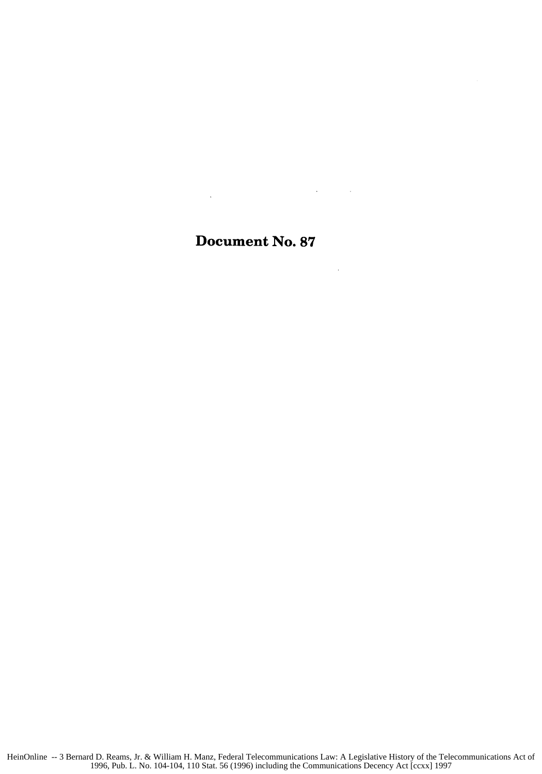# Document No. **87**

 $\hat{\mathcal{A}}$ 

 $\mathcal{L}(\mathbf{x})$  and  $\mathcal{L}(\mathbf{x})$  .

 $\bar{\mathcal{A}}$